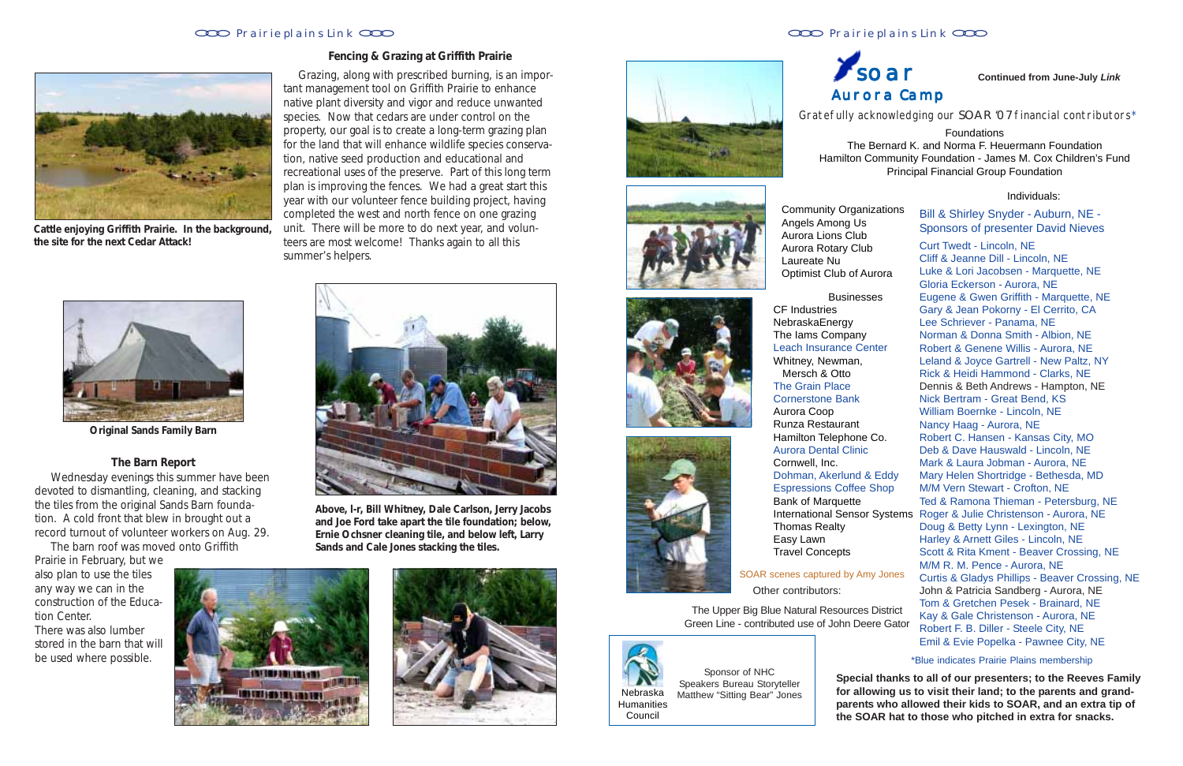#### Prairie plains Link CCC **Prairie plains Link** CCC **Prairie plains Link** CCC

**THE PERSONAL PROPERTY** 

11721199191181707

Gratefully acknowledging our SOAR '07 financial contributors\*

Foundations The Bernard K. and Norma F. Heuermann Foundation Hamilton Community Foundation - James M. Cox Children's Fund Principal Financial Group Foundation

**Community Organiz** Angels Among Us Aurora Lions Club Aurora Rotary Club Laureate Nu Optimist Club of Au

#### Individuals:

NebraskaEnergy The Iams Company Leach Insurance Cer Whitney, Newman, Mersch & Otto The Grain Place Cornerstone Bank Aurora Coop Runza Restaurant Hamilton Telephone Aurora Dental Clinic Cornwell, Inc. Dohman, Akerlund & **Espressions Coffee S** Bank of Marquette **International Sensor** 

| ity Organizations<br>nong Us | Bill & Shirley Snyder - Auburn, NE -<br><b>Sponsors of presenter David Nieves</b> |
|------------------------------|-----------------------------------------------------------------------------------|
| ons Club                     |                                                                                   |
| otary Club                   | <b>Curt Twedt - Lincoln, NE</b>                                                   |
| Nu                           | Cliff & Jeanne Dill - Lincoln, NE                                                 |
| Club of Aurora               | Luke & Lori Jacobsen - Marquette, NE                                              |
|                              | Gloria Eckerson - Aurora, NE                                                      |
| <b>Businesses</b>            | Eugene & Gwen Griffith - Marquette, NE                                            |
| es                           | Gary & Jean Pokorny - El Cerrito, CA                                              |
| nergy                        | Lee Schriever - Panama, NE                                                        |
| company.                     | Norman & Donna Smith - Albion, NE                                                 |
| rance Center                 | Robert & Genene Willis - Aurora, NE                                               |
| ewman,                       | Leland & Joyce Gartrell - New Paltz, NY                                           |
| ، Otto                       | Rick & Heidi Hammond - Clarks, NE                                                 |
| Place                        | Dennis & Beth Andrews - Hampton, NE                                               |
| e Bank                       | Nick Bertram - Great Bend, KS                                                     |
| p                            | William Boernke - Lincoln, NE                                                     |
| taurant                      | Nancy Haag - Aurora, NE                                                           |
| elephone Co.                 | Robert C. Hansen - Kansas City, MO                                                |
| <b>tal Clinic</b>            | Deb & Dave Hauswald - Lincoln, NE                                                 |
| ገC.                          | Mark & Laura Jobman - Aurora, NE                                                  |
| kerlund & Eddy               | Mary Helen Shortridge - Bethesda, MD                                              |
| s Coffee Shop                | M/M Vern Stewart - Crofton, NE                                                    |
| arquette                     | Ted & Ramona Thieman - Petersburg, NE                                             |
| al Sensor Systems            | Roger & Julie Christenson - Aurora, NE                                            |
| ealty                        | Doug & Betty Lynn - Lexington, NE                                                 |
|                              | Harley & Arnett Giles - Lincoln, NE                                               |
| cepts                        | Scott & Rita Kment - Beaver Crossing, NE                                          |
|                              | M/M R. M. Pence - Aurora, NE                                                      |
| <b>red by Amy Jones</b>      | <b>Curtis &amp; Gladys Phillips - Beaver Crossing, NE</b>                         |
| ors:                         | John & Patricia Sandberg - Aurora, NE                                             |
|                              | Tom & Gretchen Pesek - Brainard, NE                                               |
| esources District:           | Kay & Gale Christenson - Aurora, NE                                               |
| John Deere Gator             | Robert F. B. Diller - Steele City, NE                                             |
|                              | Emil & Evie Popelka - Pawnee City, NE                                             |
|                              |                                                                                   |

Other contributors: SOAR scenes captured by Amy

The Upper Big Blue Natural Resources Green Line - contributed use of John Dee

### $\chi_{\text{soar}}$ Aurora Camp

CF Industries Travel Concepts

Thomas Realty Easy Lawn

Sponsor of NHC Speakers Bureau Storyteller Matthew "Sitting Bear" Jones \*Blue indicates Prairie Plains membership

**Special thanks to all of our presenters; to the Reeves Family for allowing us to visit their land; to the parents and grandparents who allowed their kids to SOAR, and an extra tip of the SOAR hat to those who pitched in extra for snacks.**



#### **Continued from June-July** *Link*



#### **Fencing & Grazing at Griffith Prairie**

Grazing, along with prescribed burning, is an important management tool on Griffith Prairie to enhance native plant diversity and vigor and reduce unwanted species. Now that cedars are under control on the property, our goal is to create a long-term grazing plan for the land that will enhance wildlife species conservation, native seed production and educational and recreational uses of the preserve. Part of this long term plan is improving the fences. We had a great start this year with our volunteer fence building project, having completed the west and north fence on one grazing unit. There will be more to do next year, and volunteers are most welcome! Thanks again to all this summer's helpers.

#### **The Barn Report**

 Wednesday evenings this summer have been devoted to dismantling, cleaning, and stacking the tiles from the original Sands Barn foundation. A cold front that blew in brought out a record turnout of volunteer workers on Aug. 29.

The barn roof was moved onto Griffith

Prairie in February, but we also plan to use the tiles any way we can in the construction of the Education Center. There was also lumber stored in the barn that will be used where possible.



**Above, l-r, Bill Whitney, Dale Carlson, Jerry Jacobs and Joe Ford take apart the tile foundation; below, Ernie Ochsner cleaning tile, and below left, Larry Sands and Cale Jones stacking the tiles.**













**Cattle enjoying Griffith Prairie. In the background, the site for the next Cedar Attack!**



**Original Sands Family Barn**